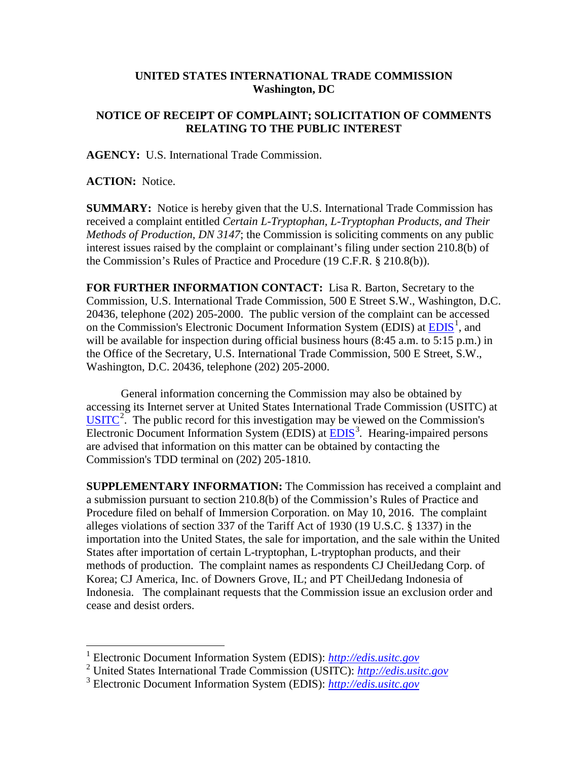## **UNITED STATES INTERNATIONAL TRADE COMMISSION Washington, DC**

## **NOTICE OF RECEIPT OF COMPLAINT; SOLICITATION OF COMMENTS RELATING TO THE PUBLIC INTEREST**

**AGENCY:** U.S. International Trade Commission.

**ACTION:** Notice.

**SUMMARY:** Notice is hereby given that the U.S. International Trade Commission has received a complaint entitled *Certain L-Tryptophan, L-Tryptophan Products, and Their Methods of Production, DN 3147*; the Commission is soliciting comments on any public interest issues raised by the complaint or complainant's filing under section 210.8(b) of the Commission's Rules of Practice and Procedure (19 C.F.R. § 210.8(b)).

**FOR FURTHER INFORMATION CONTACT:** Lisa R. Barton, Secretary to the Commission, U.S. International Trade Commission, 500 E Street S.W., Washington, D.C. 20436, telephone (202) 205-2000. The public version of the complaint can be accessed on the Commission's Electronic Document Information System (EDIS) at  $\underline{EDIS}^1$  $\underline{EDIS}^1$ , and will be available for inspection during official business hours (8:45 a.m. to 5:15 p.m.) in the Office of the Secretary, U.S. International Trade Commission, 500 E Street, S.W., Washington, D.C. 20436, telephone (202) 205-2000.

General information concerning the Commission may also be obtained by accessing its Internet server at United States International Trade Commission (USITC) at  $\overline{USTTC}^2$  $\overline{USTTC}^2$ . The public record for this investigation may be viewed on the Commission's Electronic Document Information System (EDIS) at **EDIS**<sup>[3](#page-0-2)</sup>. Hearing-impaired persons are advised that information on this matter can be obtained by contacting the Commission's TDD terminal on (202) 205-1810.

**SUPPLEMENTARY INFORMATION:** The Commission has received a complaint and a submission pursuant to section 210.8(b) of the Commission's Rules of Practice and Procedure filed on behalf of Immersion Corporation. on May 10, 2016. The complaint alleges violations of section 337 of the Tariff Act of 1930 (19 U.S.C. § 1337) in the importation into the United States, the sale for importation, and the sale within the United States after importation of certain L-tryptophan, L-tryptophan products, and their methods of production. The complaint names as respondents CJ CheilJedang Corp. of Korea; CJ America, Inc. of Downers Grove, IL; and PT CheilJedang Indonesia of Indonesia. The complainant requests that the Commission issue an exclusion order and cease and desist orders.

 <sup>1</sup> Electronic Document Information System (EDIS): *[http://edis.usitc.gov](http://edis.usitc.gov/)*

<span id="page-0-1"></span><span id="page-0-0"></span><sup>2</sup> United States International Trade Commission (USITC): *[http://edis.usitc.gov](http://edis.usitc.gov/)*

<span id="page-0-2"></span><sup>3</sup> Electronic Document Information System (EDIS): *[http://edis.usitc.gov](http://edis.usitc.gov/)*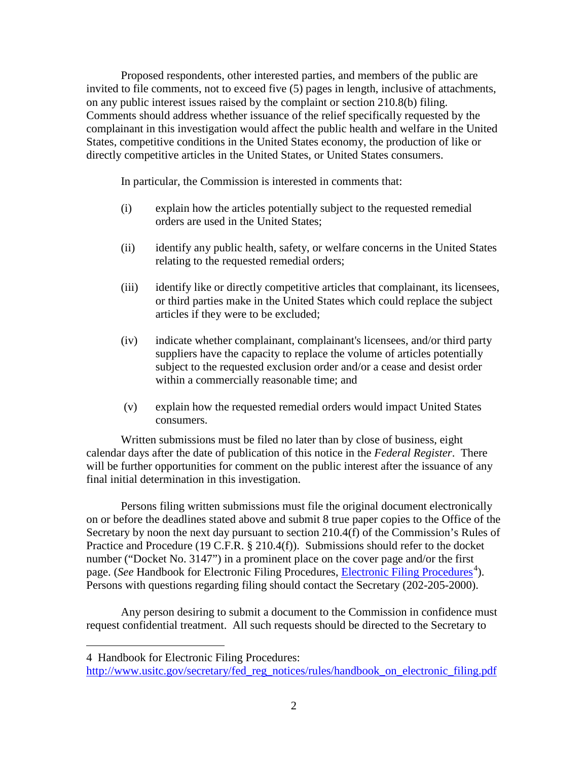Proposed respondents, other interested parties, and members of the public are invited to file comments, not to exceed five (5) pages in length, inclusive of attachments, on any public interest issues raised by the complaint or section 210.8(b) filing. Comments should address whether issuance of the relief specifically requested by the complainant in this investigation would affect the public health and welfare in the United States, competitive conditions in the United States economy, the production of like or directly competitive articles in the United States, or United States consumers.

In particular, the Commission is interested in comments that:

- (i) explain how the articles potentially subject to the requested remedial orders are used in the United States;
- (ii) identify any public health, safety, or welfare concerns in the United States relating to the requested remedial orders;
- (iii) identify like or directly competitive articles that complainant, its licensees, or third parties make in the United States which could replace the subject articles if they were to be excluded;
- (iv) indicate whether complainant, complainant's licensees, and/or third party suppliers have the capacity to replace the volume of articles potentially subject to the requested exclusion order and/or a cease and desist order within a commercially reasonable time; and
- (v) explain how the requested remedial orders would impact United States consumers.

Written submissions must be filed no later than by close of business, eight calendar days after the date of publication of this notice in the *Federal Register*. There will be further opportunities for comment on the public interest after the issuance of any final initial determination in this investigation.

Persons filing written submissions must file the original document electronically on or before the deadlines stated above and submit 8 true paper copies to the Office of the Secretary by noon the next day pursuant to section 210.4(f) of the Commission's Rules of Practice and Procedure (19 C.F.R. § 210.4(f)). Submissions should refer to the docket number ("Docket No. 3147") in a prominent place on the cover page and/or the first page. (*See* Handbook for [Electronic Filing Procedures](http://www.usitc.gov/secretary/fed_reg_notices/rules/handbook_on_electronic_filing.pdf), *Electronic Filing Procedures*<sup>[4](#page-1-0)</sup>). Persons with questions regarding filing should contact the Secretary (202-205-2000).

Any person desiring to submit a document to the Commission in confidence must request confidential treatment. All such requests should be directed to the Secretary to

 $\overline{a}$ 

<span id="page-1-0"></span><sup>4</sup> Handbook for Electronic Filing Procedures:

http://www.usitc.gov/secretary/fed\_reg\_notices/rules/handbook\_on\_electronic\_filing.pdf